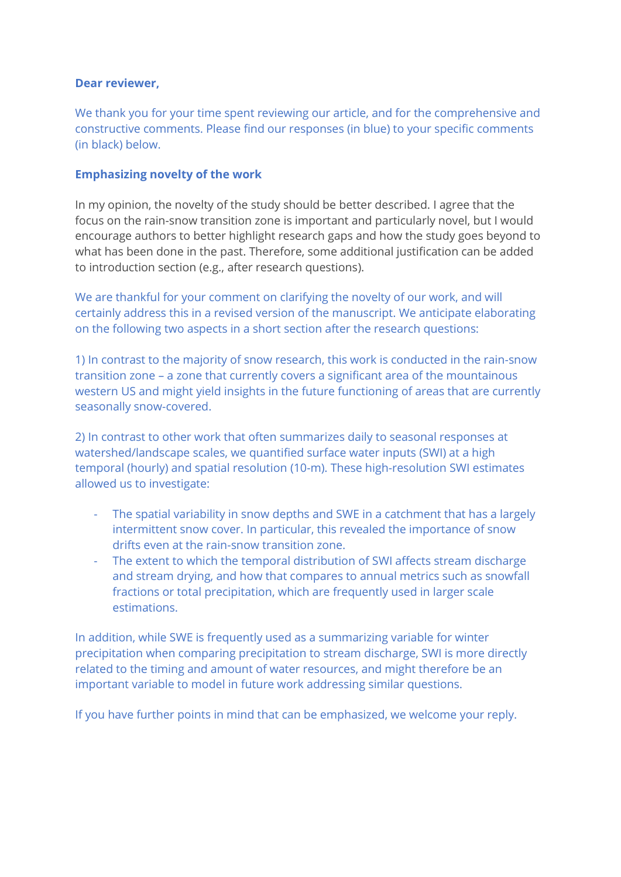### **Dear reviewer,**

We thank you for your time spent reviewing our article, and for the comprehensive and constructive comments. Please find our responses (in blue) to your specific comments (in black) below.

### **Emphasizing novelty of the work**

In my opinion, the novelty of the study should be better described. I agree that the focus on the rain-snow transition zone is important and particularly novel, but I would encourage authors to better highlight research gaps and how the study goes beyond to what has been done in the past. Therefore, some additional justification can be added to introduction section (e.g., after research questions).

We are thankful for your comment on clarifying the novelty of our work, and will certainly address this in a revised version of the manuscript. We anticipate elaborating on the following two aspects in a short section after the research questions:

1) In contrast to the majority of snow research, this work is conducted in the rain-snow transition zone – a zone that currently covers a significant area of the mountainous western US and might yield insights in the future functioning of areas that are currently seasonally snow-covered.

2) In contrast to other work that often summarizes daily to seasonal responses at watershed/landscape scales, we quantified surface water inputs (SWI) at a high temporal (hourly) and spatial resolution (10-m). These high-resolution SWI estimates allowed us to investigate:

- The spatial variability in snow depths and SWE in a catchment that has a largely intermittent snow cover. In particular, this revealed the importance of snow drifts even at the rain-snow transition zone.
- The extent to which the temporal distribution of SWI affects stream discharge and stream drying, and how that compares to annual metrics such as snowfall fractions or total precipitation, which are frequently used in larger scale estimations.

In addition, while SWE is frequently used as a summarizing variable for winter precipitation when comparing precipitation to stream discharge, SWI is more directly related to the timing and amount of water resources, and might therefore be an important variable to model in future work addressing similar questions.

If you have further points in mind that can be emphasized, we welcome your reply.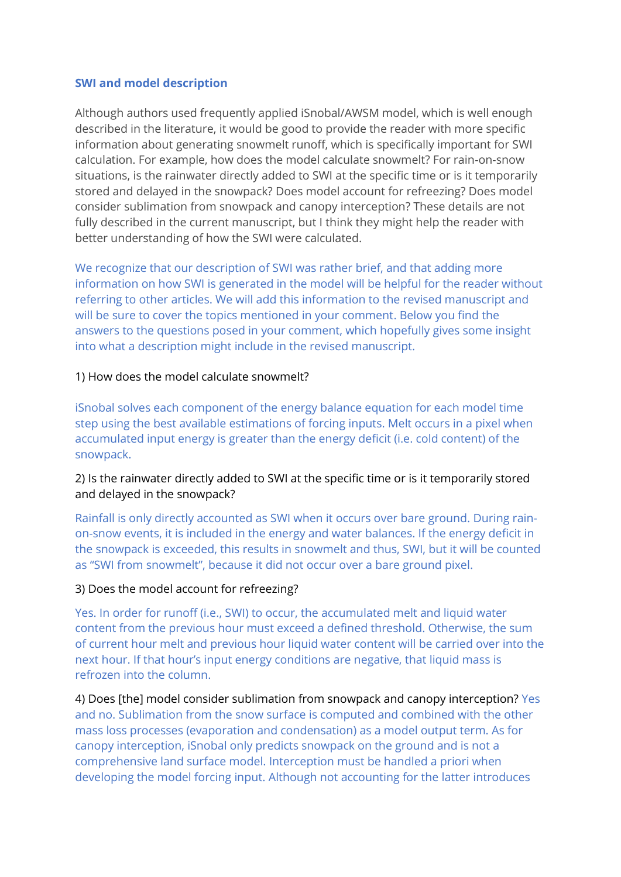### **SWI and model description**

Although authors used frequently applied iSnobal/AWSM model, which is well enough described in the literature, it would be good to provide the reader with more specific information about generating snowmelt runoff, which is specifically important for SWI calculation. For example, how does the model calculate snowmelt? For rain-on-snow situations, is the rainwater directly added to SWI at the specific time or is it temporarily stored and delayed in the snowpack? Does model account for refreezing? Does model consider sublimation from snowpack and canopy interception? These details are not fully described in the current manuscript, but I think they might help the reader with better understanding of how the SWI were calculated.

We recognize that our description of SWI was rather brief, and that adding more information on how SWI is generated in the model will be helpful for the reader without referring to other articles. We will add this information to the revised manuscript and will be sure to cover the topics mentioned in your comment. Below you find the answers to the questions posed in your comment, which hopefully gives some insight into what a description might include in the revised manuscript.

### 1) How does the model calculate snowmelt?

iSnobal solves each component of the energy balance equation for each model time step using the best available estimations of forcing inputs. Melt occurs in a pixel when accumulated input energy is greater than the energy deficit (i.e. cold content) of the snowpack.

# 2) Is the rainwater directly added to SWI at the specific time or is it temporarily stored and delayed in the snowpack?

Rainfall is only directly accounted as SWI when it occurs over bare ground. During rainon-snow events, it is included in the energy and water balances. If the energy deficit in the snowpack is exceeded, this results in snowmelt and thus, SWI, but it will be counted as "SWI from snowmelt", because it did not occur over a bare ground pixel.

#### 3) Does the model account for refreezing?

Yes. In order for runoff (i.e., SWI) to occur, the accumulated melt and liquid water content from the previous hour must exceed a defined threshold. Otherwise, the sum of current hour melt and previous hour liquid water content will be carried over into the next hour. If that hour's input energy conditions are negative, that liquid mass is refrozen into the column.

4) Does [the] model consider sublimation from snowpack and canopy interception? Yes and no. Sublimation from the snow surface is computed and combined with the other mass loss processes (evaporation and condensation) as a model output term. As for canopy interception, iSnobal only predicts snowpack on the ground and is not a comprehensive land surface model. Interception must be handled a priori when developing the model forcing input. Although not accounting for the latter introduces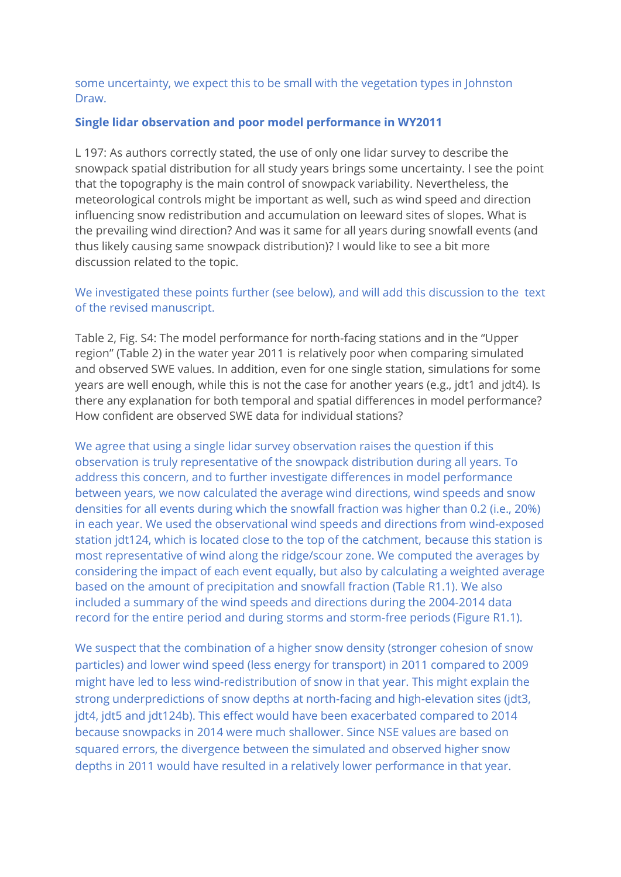some uncertainty, we expect this to be small with the vegetation types in Johnston Draw.

### **Single lidar observation and poor model performance in WY2011**

L 197: As authors correctly stated, the use of only one lidar survey to describe the snowpack spatial distribution for all study years brings some uncertainty. I see the point that the topography is the main control of snowpack variability. Nevertheless, the meteorological controls might be important as well, such as wind speed and direction influencing snow redistribution and accumulation on leeward sites of slopes. What is the prevailing wind direction? And was it same for all years during snowfall events (and thus likely causing same snowpack distribution)? I would like to see a bit more discussion related to the topic.

# We investigated these points further (see below), and will add this discussion to the text of the revised manuscript.

Table 2, Fig. S4: The model performance for north-facing stations and in the "Upper region" (Table 2) in the water year 2011 is relatively poor when comparing simulated and observed SWE values. In addition, even for one single station, simulations for some years are well enough, while this is not the case for another years (e.g., jdt1 and jdt4). Is there any explanation for both temporal and spatial differences in model performance? How confident are observed SWE data for individual stations?

We agree that using a single lidar survey observation raises the question if this observation is truly representative of the snowpack distribution during all years. To address this concern, and to further investigate differences in model performance between years, we now calculated the average wind directions, wind speeds and snow densities for all events during which the snowfall fraction was higher than 0.2 (i.e., 20%) in each year. We used the observational wind speeds and directions from wind-exposed station jdt124, which is located close to the top of the catchment, because this station is most representative of wind along the ridge/scour zone. We computed the averages by considering the impact of each event equally, but also by calculating a weighted average based on the amount of precipitation and snowfall fraction (Table R1.1). We also included a summary of the wind speeds and directions during the 2004-2014 data record for the entire period and during storms and storm-free periods (Figure R1.1).

We suspect that the combination of a higher snow density (stronger cohesion of snow particles) and lower wind speed (less energy for transport) in 2011 compared to 2009 might have led to less wind-redistribution of snow in that year. This might explain the strong underpredictions of snow depths at north-facing and high-elevation sites (jdt3, jdt4, jdt5 and jdt124b). This effect would have been exacerbated compared to 2014 because snowpacks in 2014 were much shallower. Since NSE values are based on squared errors, the divergence between the simulated and observed higher snow depths in 2011 would have resulted in a relatively lower performance in that year.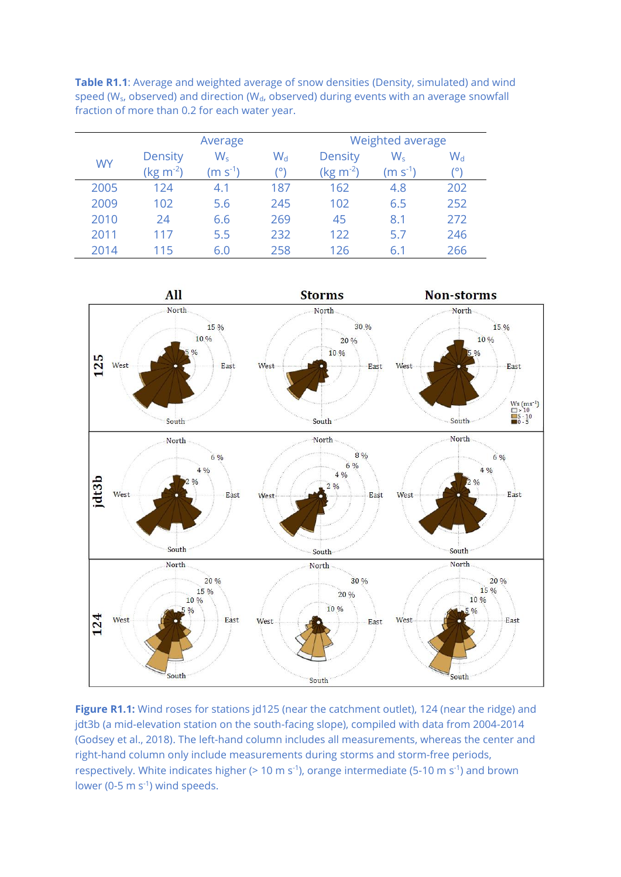**Table R1.1**: Average and weighted average of snow densities (Density, simulated) and wind speed (W<sub>s</sub>, observed) and direction (W<sub>d</sub>, observed) during events with an average snowfall fraction of more than 0.2 for each water year.

|           | Average                         |                    |             | Weighted average                 |                    |                    |
|-----------|---------------------------------|--------------------|-------------|----------------------------------|--------------------|--------------------|
| <b>WY</b> | <b>Density</b><br>$(kg m^{-2})$ | $W_{s}$<br>$(m-1)$ | $W_d$<br>o۱ | Density<br>(kg m <sup>-2</sup> ) | $W_{s}$<br>$(m-1)$ | $W_{\rm d}$<br>יס' |
| 2005      | 124                             | 4.1                | 187         | 162                              | 4.8                | 202                |
| 2009      | 102                             | 5.6                | 245         | 102                              | 6.5                | 252                |
| 2010      | 24                              | 6.6                | 269         | 45                               | 8.1                | 272                |
| 2011      | 117                             | 5.5                | 232         | 122                              | 5.7                | 246                |
| 2014      | 115                             | 6.0                | 258         | 126                              | 6.1                | 266                |



Figure R1.1: Wind roses for stations jd125 (near the catchment outlet), 124 (near the ridge) and jdt3b (a mid-elevation station on the south-facing slope), compiled with data from 2004-2014 (Godsey et al., 2018). The left-hand column includes all measurements, whereas the center and right-hand column only include measurements during storms and storm-free periods, respectively. White indicates higher (> 10 m s<sup>-1</sup>), orange intermediate (5-10 m s<sup>-1</sup>) and brown lower (0-5  $\text{m s}^{-1}$ ) wind speeds.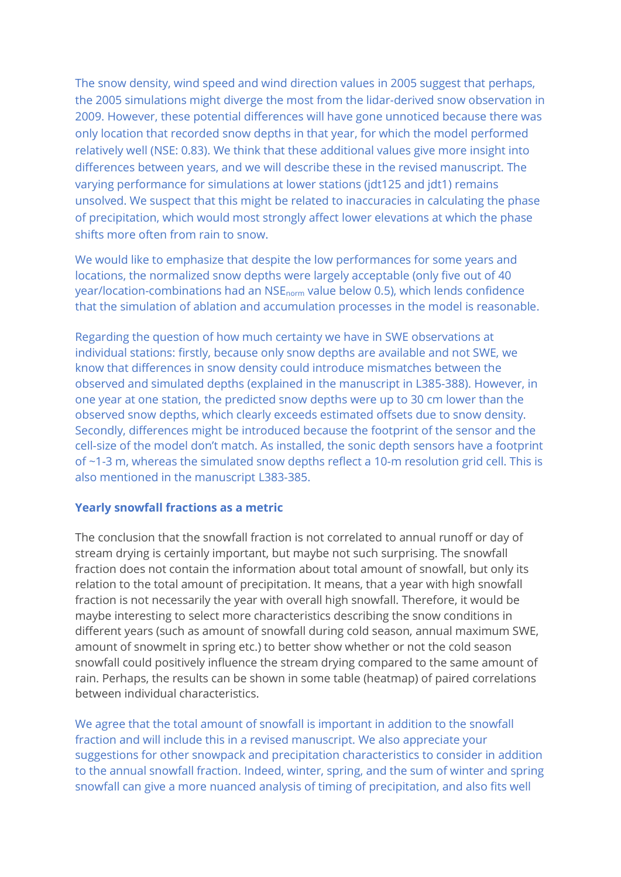The snow density, wind speed and wind direction values in 2005 suggest that perhaps, the 2005 simulations might diverge the most from the lidar-derived snow observation in 2009. However, these potential differences will have gone unnoticed because there was only location that recorded snow depths in that year, for which the model performed relatively well (NSE: 0.83). We think that these additional values give more insight into differences between years, and we will describe these in the revised manuscript. The varying performance for simulations at lower stations (jdt125 and jdt1) remains unsolved. We suspect that this might be related to inaccuracies in calculating the phase of precipitation, which would most strongly affect lower elevations at which the phase shifts more often from rain to snow.

We would like to emphasize that despite the low performances for some years and locations, the normalized snow depths were largely acceptable (only five out of 40 year/location-combinations had an NSEnorm value below 0.5), which lends confidence that the simulation of ablation and accumulation processes in the model is reasonable.

Regarding the question of how much certainty we have in SWE observations at individual stations: firstly, because only snow depths are available and not SWE, we know that differences in snow density could introduce mismatches between the observed and simulated depths (explained in the manuscript in L385-388). However, in one year at one station, the predicted snow depths were up to 30 cm lower than the observed snow depths, which clearly exceeds estimated offsets due to snow density. Secondly, differences might be introduced because the footprint of the sensor and the cell-size of the model don't match. As installed, the sonic depth sensors have a footprint of ~1-3 m, whereas the simulated snow depths reflect a 10-m resolution grid cell. This is also mentioned in the manuscript L383-385.

### **Yearly snowfall fractions as a metric**

The conclusion that the snowfall fraction is not correlated to annual runoff or day of stream drying is certainly important, but maybe not such surprising. The snowfall fraction does not contain the information about total amount of snowfall, but only its relation to the total amount of precipitation. It means, that a year with high snowfall fraction is not necessarily the year with overall high snowfall. Therefore, it would be maybe interesting to select more characteristics describing the snow conditions in different years (such as amount of snowfall during cold season, annual maximum SWE, amount of snowmelt in spring etc.) to better show whether or not the cold season snowfall could positively influence the stream drying compared to the same amount of rain. Perhaps, the results can be shown in some table (heatmap) of paired correlations between individual characteristics.

We agree that the total amount of snowfall is important in addition to the snowfall fraction and will include this in a revised manuscript. We also appreciate your suggestions for other snowpack and precipitation characteristics to consider in addition to the annual snowfall fraction. Indeed, winter, spring, and the sum of winter and spring snowfall can give a more nuanced analysis of timing of precipitation, and also fits well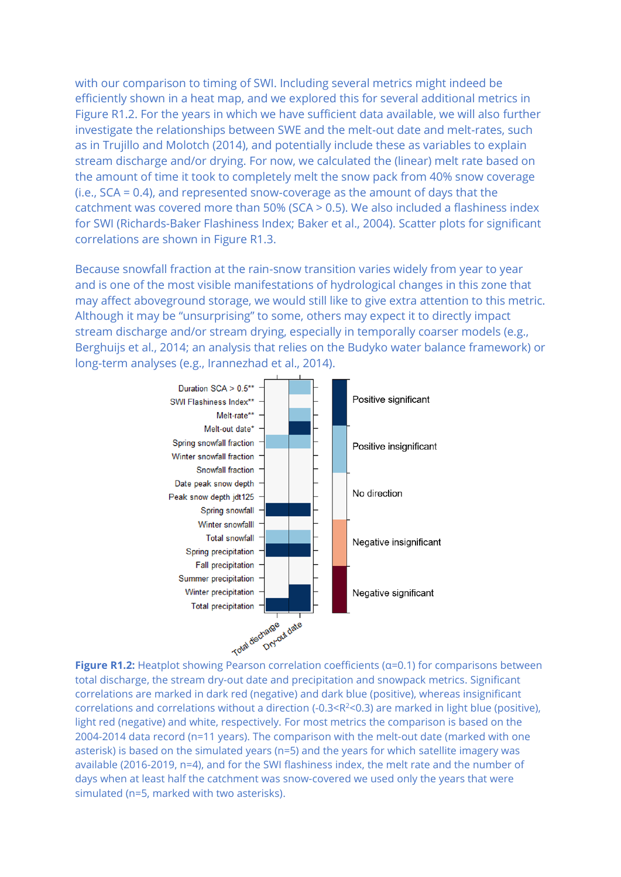with our comparison to timing of SWI. Including several metrics might indeed be efficiently shown in a heat map, and we explored this for several additional metrics in Figure R1.2. For the years in which we have sufficient data available, we will also further investigate the relationships between SWE and the melt-out date and melt-rates, such as in Trujillo and Molotch (2014), and potentially include these as variables to explain stream discharge and/or drying. For now, we calculated the (linear) melt rate based on the amount of time it took to completely melt the snow pack from 40% snow coverage (i.e., SCA = 0.4), and represented snow-coverage as the amount of days that the catchment was covered more than 50% (SCA > 0.5). We also included a flashiness index for SWI (Richards-Baker Flashiness Index; Baker et al., 2004). Scatter plots for significant correlations are shown in Figure R1.3.

Because snowfall fraction at the rain-snow transition varies widely from year to year and is one of the most visible manifestations of hydrological changes in this zone that may affect aboveground storage, we would still like to give extra attention to this metric. Although it may be "unsurprising" to some, others may expect it to directly impact stream discharge and/or stream drying, especially in temporally coarser models (e.g., Berghuijs et al., 2014; an analysis that relies on the Budyko water balance framework) or long-term analyses (e.g., Irannezhad et al., 2014).



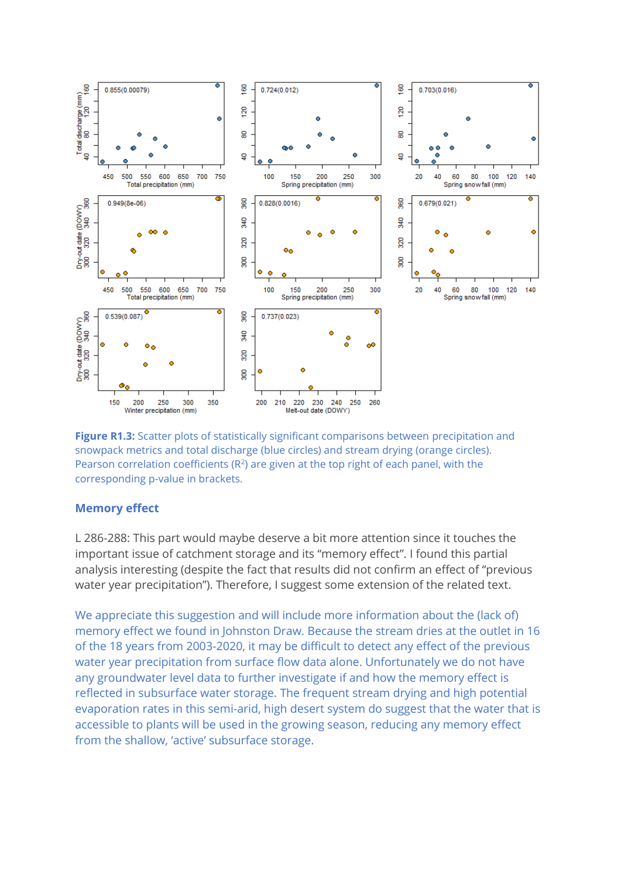

**Figure R1.3:** Scatter plots of statistically significant comparisons between precipitation and snowpack metrics and total discharge (blue circles) and stream drying (orange circles). Pearson correlation coefficients ( $R<sup>2</sup>$ ) are given at the top right of each panel, with the corresponding p-value in brackets.

#### **Memory effect**

L 286-288: This part would maybe deserve a bit more attention since it touches the important issue of catchment storage and its "memory effect". I found this partial analysis interesting (despite the fact that results did not confirm an effect of "previous water year precipitation"). Therefore, I suggest some extension of the related text.

We appreciate this suggestion and will include more information about the (lack of) memory effect we found in Johnston Draw. Because the stream dries at the outlet in 16 of the 18 years from 2003-2020, it may be difficult to detect any effect of the previous water year precipitation from surface flow data alone. Unfortunately we do not have any groundwater level data to further investigate if and how the memory effect is reflected in subsurface water storage. The frequent stream drying and high potential evaporation rates in this semi-arid, high desert system do suggest that the water that is accessible to plants will be used in the growing season, reducing any memory effect from the shallow, 'active' subsurface storage.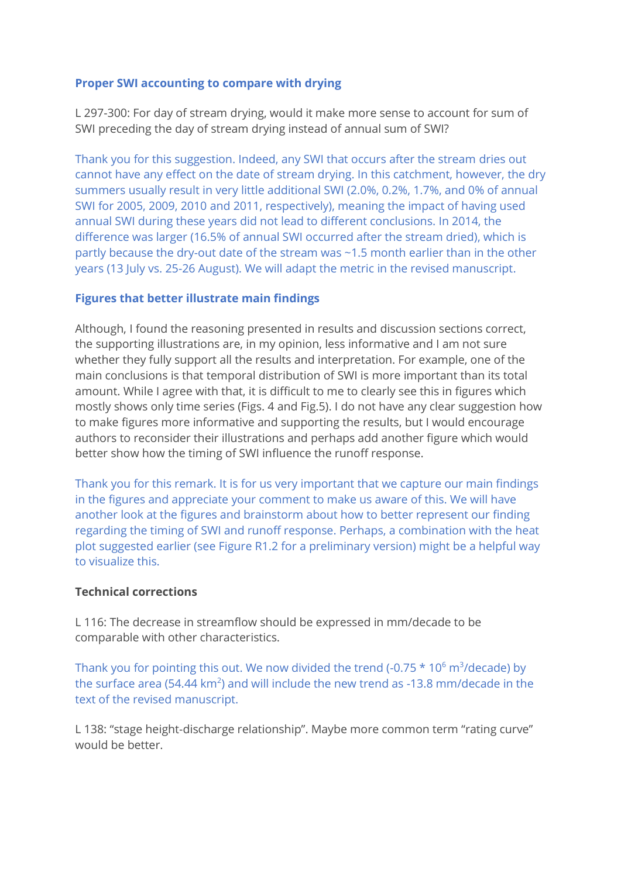## **Proper SWI accounting to compare with drying**

L 297-300: For day of stream drying, would it make more sense to account for sum of SWI preceding the day of stream drying instead of annual sum of SWI?

Thank you for this suggestion. Indeed, any SWI that occurs after the stream dries out cannot have any effect on the date of stream drying. In this catchment, however, the dry summers usually result in very little additional SWI (2.0%, 0.2%, 1.7%, and 0% of annual SWI for 2005, 2009, 2010 and 2011, respectively), meaning the impact of having used annual SWI during these years did not lead to different conclusions. In 2014, the difference was larger (16.5% of annual SWI occurred after the stream dried), which is partly because the dry-out date of the stream was ~1.5 month earlier than in the other years (13 July vs. 25-26 August). We will adapt the metric in the revised manuscript.

## **Figures that better illustrate main findings**

Although, I found the reasoning presented in results and discussion sections correct, the supporting illustrations are, in my opinion, less informative and I am not sure whether they fully support all the results and interpretation. For example, one of the main conclusions is that temporal distribution of SWI is more important than its total amount. While I agree with that, it is difficult to me to clearly see this in figures which mostly shows only time series (Figs. 4 and Fig.5). I do not have any clear suggestion how to make figures more informative and supporting the results, but I would encourage authors to reconsider their illustrations and perhaps add another figure which would better show how the timing of SWI influence the runoff response.

Thank you for this remark. It is for us very important that we capture our main findings in the figures and appreciate your comment to make us aware of this. We will have another look at the figures and brainstorm about how to better represent our finding regarding the timing of SWI and runoff response. Perhaps, a combination with the heat plot suggested earlier (see Figure R1.2 for a preliminary version) might be a helpful way to visualize this.

## **Technical corrections**

L 116: The decrease in streamflow should be expressed in mm/decade to be comparable with other characteristics.

Thank you for pointing this out. We now divided the trend (-0.75  $*$  10 $^6$  m<sup>3</sup>/decade) by the surface area (54.44  $km^2$ ) and will include the new trend as -13.8 mm/decade in the text of the revised manuscript.

L 138: "stage height-discharge relationship". Maybe more common term "rating curve" would be better.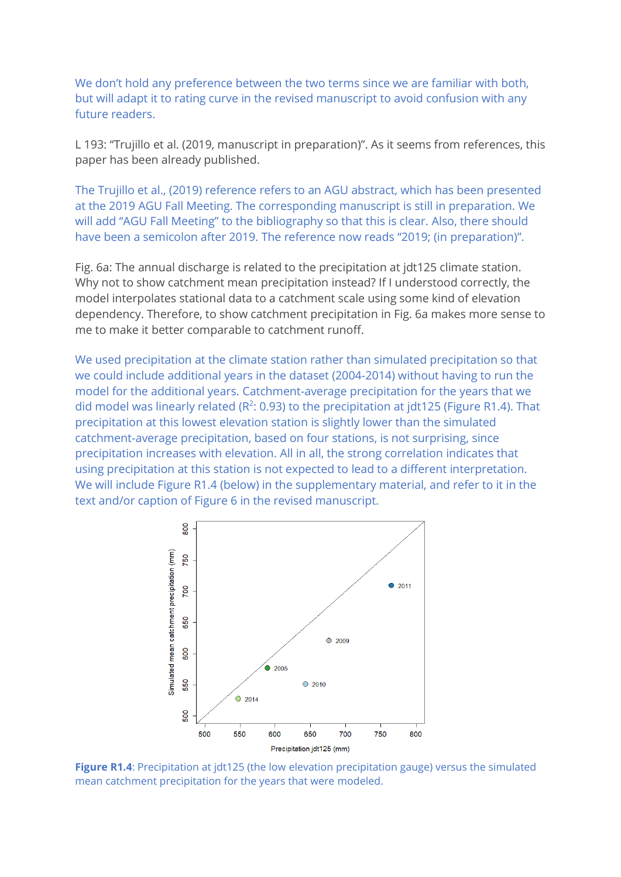We don't hold any preference between the two terms since we are familiar with both, but will adapt it to rating curve in the revised manuscript to avoid confusion with any future readers.

L 193: "Trujillo et al. (2019, manuscript in preparation)". As it seems from references, this paper has been already published.

The Trujillo et al., (2019) reference refers to an AGU abstract, which has been presented at the 2019 AGU Fall Meeting. The corresponding manuscript is still in preparation. We will add "AGU Fall Meeting" to the bibliography so that this is clear. Also, there should have been a semicolon after 2019. The reference now reads "2019; (in preparation)".

Fig. 6a: The annual discharge is related to the precipitation at jdt125 climate station. Why not to show catchment mean precipitation instead? If I understood correctly, the model interpolates stational data to a catchment scale using some kind of elevation dependency. Therefore, to show catchment precipitation in Fig. 6a makes more sense to me to make it better comparable to catchment runoff.

We used precipitation at the climate station rather than simulated precipitation so that we could include additional years in the dataset (2004-2014) without having to run the model for the additional years. Catchment-average precipitation for the years that we did model was linearly related ( $R^2$ : 0.93) to the precipitation at jdt125 (Figure R1.4). That precipitation at this lowest elevation station is slightly lower than the simulated catchment-average precipitation, based on four stations, is not surprising, since precipitation increases with elevation. All in all, the strong correlation indicates that using precipitation at this station is not expected to lead to a different interpretation. We will include Figure R1.4 (below) in the supplementary material, and refer to it in the text and/or caption of Figure 6 in the revised manuscript.



**Figure R1.4**: Precipitation at jdt125 (the low elevation precipitation gauge) versus the simulated mean catchment precipitation for the years that were modeled.